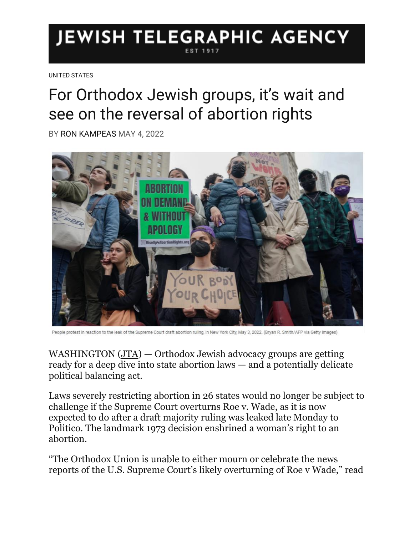## **JEWISH TELEGRAPHIC AGENCY**

[UNITED STATES](https://www.jta.org/category/united-states)

## For Orthodox Jewish groups, it's wait and see on the reversal of abortion rights

BY [RON KAMPEAS](https://www.jta.org/author/ron-kampeas) MAY 4, 2022



People protest in reaction to the leak of the Supreme Court draft abortion ruling, in New York City, May 3, 2022. (Bryan R. Smith/AFP via Getty Images)

WASHINGTON [\(JTA\)](http://www.jta.org/) — Orthodox Jewish advocacy groups are getting ready for a deep dive into state abortion laws — and a potentially delicate political balancing act.

Laws severely restricting abortion in 26 states would no longer be subject to challenge if the Supreme Court overturns Roe v. Wade, as it is now expected to do after a draft majority ruling was leaked late Monday to Politico. The landmark 1973 decision enshrined a woman's right to an abortion.

"The Orthodox Union is unable to either mourn or celebrate the news reports of the U.S. Supreme Court's likely overturning of Roe v Wade," read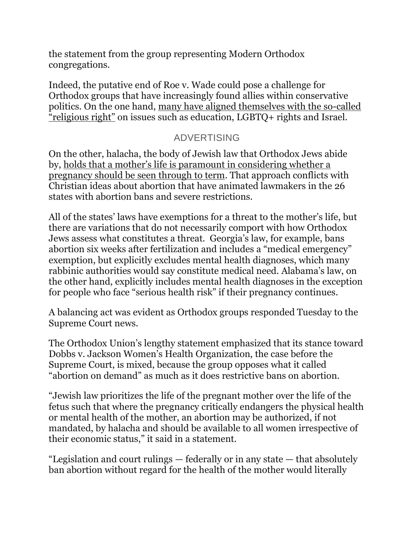the statement from the group representing Modern Orthodox congregations.

Indeed, the putative end of Roe v. Wade could pose a challenge for Orthodox groups that have increasingly found allies within conservative politics. On the one hand, [many have aligned themselves with the so-called](https://www.jta.org/2020/02/03/politics/i-think-its-israel-how-orthodox-jews-became-republicans)  ["religious right"](https://www.jta.org/2020/02/03/politics/i-think-its-israel-how-orthodox-jews-became-republicans) on issues such as education, LGBTQ+ rights and Israel.

## ADVERTISING

On the other, halacha, the body of Jewish law that Orthodox Jews abide by, [holds that a mother's life is paramount in considering whether a](https://www.jta.org/2022/05/03/religion/what-do-jews-say-about-abortion)  [pregnancy should be seen through to term.](https://www.jta.org/2022/05/03/religion/what-do-jews-say-about-abortion) That approach conflicts with Christian ideas about abortion that have animated lawmakers in the 26 states with abortion bans and severe restrictions.

All of the states' laws have exemptions for a threat to the mother's life, but there are variations that do not necessarily comport with how Orthodox Jews assess what constitutes a threat. Georgia's law, for example, bans abortion six weeks after fertilization and includes a "medical emergency" exemption, but explicitly excludes mental health diagnoses, which many rabbinic authorities would say constitute medical need. Alabama's law, on the other hand, explicitly includes mental health diagnoses in the exception for people who face "serious health risk" if their pregnancy continues.

A balancing act was evident as Orthodox groups responded Tuesday to the Supreme Court news.

The Orthodox Union's lengthy statement emphasized that its stance toward Dobbs v. Jackson Women's Health Organization, the case before the Supreme Court, is mixed, because the group opposes what it called "abortion on demand" as much as it does restrictive bans on abortion.

"Jewish law prioritizes the life of the pregnant mother over the life of the fetus such that where the pregnancy critically endangers the physical health or mental health of the mother, an abortion may be authorized, if not mandated, by halacha and should be available to all women irrespective of their economic status," it said in a statement.

"Legislation and court rulings — federally or in any state — that absolutely ban abortion without regard for the health of the mother would literally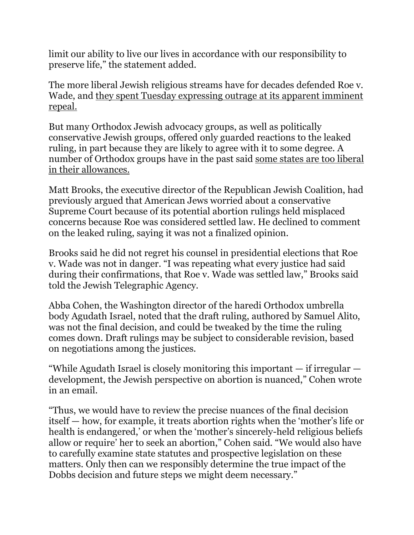limit our ability to live our lives in accordance with our responsibility to preserve life," the statement added.

The more liberal Jewish religious streams have for decades defended Roe v. Wade, and [they spent Tuesday expressing outrage at its apparent imminent](https://www.jta.org/2022/05/03/religion/jewish-advocates-for-abortion-rights-already-planned-a-rally-now-theyre-thinking-about-their-post-roe-work)  [repeal.](https://www.jta.org/2022/05/03/religion/jewish-advocates-for-abortion-rights-already-planned-a-rally-now-theyre-thinking-about-their-post-roe-work)

But many Orthodox Jewish advocacy groups, as well as politically conservative Jewish groups, offered only guarded reactions to the leaked ruling, in part because they are likely to agree with it to some degree. A number of Orthodox groups have in the past said [some states are too liberal](https://www.jta.org/2019/01/31/culture/orthodox-groups-come-out-swinging-against-new-yorks-abortion-law)  [in their allowances.](https://www.jta.org/2019/01/31/culture/orthodox-groups-come-out-swinging-against-new-yorks-abortion-law)

Matt Brooks, the executive director of the Republican Jewish Coalition, had previously argued that American Jews worried about a conservative Supreme Court because of its potential abortion rulings held misplaced concerns because Roe was considered settled law. He declined to comment on the leaked ruling, saying it was not a finalized opinion.

Brooks said he did not regret his counsel in presidential elections that Roe v. Wade was not in danger. "I was repeating what every justice had said during their confirmations, that Roe v. Wade was settled law," Brooks said told the Jewish Telegraphic Agency.

Abba Cohen, the Washington director of the haredi Orthodox umbrella body Agudath Israel, noted that the draft ruling, authored by Samuel Alito, was not the final decision, and could be tweaked by the time the ruling comes down. Draft rulings may be subject to considerable revision, based on negotiations among the justices.

"While Agudath Israel is closely monitoring this important  $-$  if irregular  $$ development, the Jewish perspective on abortion is nuanced," Cohen wrote in an email.

"Thus, we would have to review the precise nuances of the final decision itself — how, for example, it treats abortion rights when the 'mother's life or health is endangered,' or when the 'mother's sincerely-held religious beliefs allow or require' her to seek an abortion," Cohen said. "We would also have to carefully examine state statutes and prospective legislation on these matters. Only then can we responsibly determine the true impact of the Dobbs decision and future steps we might deem necessary."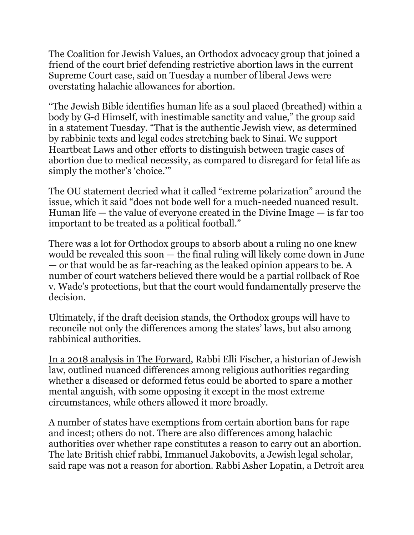The Coalition for Jewish Values, an Orthodox advocacy group that joined a friend of the court brief defending restrictive abortion laws in the current Supreme Court case, said on Tuesday a number of liberal Jews were overstating halachic allowances for abortion.

"The Jewish Bible identifies human life as a soul placed (breathed) within a body by G-d Himself, with inestimable sanctity and value," the group said in a statement Tuesday. "That is the authentic Jewish view, as determined by rabbinic texts and legal codes stretching back to Sinai. We support Heartbeat Laws and other efforts to distinguish between tragic cases of abortion due to medical necessity, as compared to disregard for fetal life as simply the mother's 'choice.'"

The OU statement decried what it called "extreme polarization" around the issue, which it said "does not bode well for a much-needed nuanced result. Human life — the value of everyone created in the Divine Image — is far too important to be treated as a political football."

There was a lot for Orthodox groups to absorb about a ruling no one knew would be revealed this soon — the final ruling will likely come down in June — or that would be as far-reaching as the leaked opinion appears to be. A number of court watchers believed there would be a partial rollback of Roe v. Wade's protections, but that the court would fundamentally preserve the decision.

Ultimately, if the draft decision stands, the Orthodox groups will have to reconcile not only the differences among the states' laws, but also among rabbinical authorities.

[In a 2018 analysis in The Forward,](https://forward.com/life/406465/what-youre-getting-wrong-about-abortion-and-judaism/) Rabbi Elli Fischer, a historian of Jewish law, outlined nuanced differences among religious authorities regarding whether a diseased or deformed fetus could be aborted to spare a mother mental anguish, with some opposing it except in the most extreme circumstances, while others allowed it more broadly.

A number of states have exemptions from certain abortion bans for rape and incest; others do not. There are also differences among halachic authorities over whether rape constitutes a reason to carry out an abortion. The late British chief rabbi, Immanuel Jakobovits, a Jewish legal scholar, said rape was not a reason for abortion. Rabbi Asher Lopatin, a Detroit area